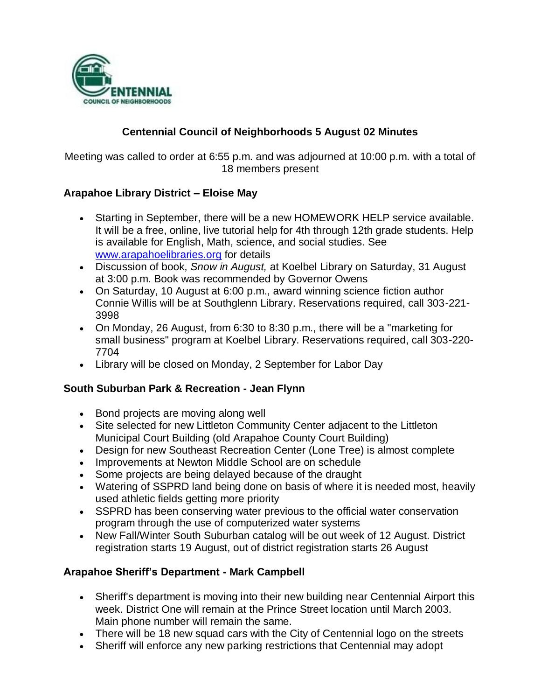

# **Centennial Council of Neighborhoods 5 August 02 Minutes**

Meeting was called to order at 6:55 p.m. and was adjourned at 10:00 p.m. with a total of 18 members present

### **Arapahoe Library District – Eloise May**

- Starting in September, there will be a new HOMEWORK HELP service available. It will be a free, online, live tutorial help for 4th through 12th grade students. Help is available for English, Math, science, and social studies. See [www.arapahoelibraries.org](http://www.arapahoelibraries.org/) for details
- Discussion of book, *Snow in August,* at Koelbel Library on Saturday, 31 August at 3:00 p.m. Book was recommended by Governor Owens
- On Saturday, 10 August at 6:00 p.m., award winning science fiction author Connie Willis will be at Southglenn Library. Reservations required, call 303-221- 3998
- On Monday, 26 August, from 6:30 to 8:30 p.m., there will be a "marketing for small business" program at Koelbel Library. Reservations required, call 303-220- 7704
- Library will be closed on Monday, 2 September for Labor Day

#### **South Suburban Park & Recreation - Jean Flynn**

- Bond projects are moving along well
- Site selected for new Littleton Community Center adjacent to the Littleton Municipal Court Building (old Arapahoe County Court Building)
- Design for new Southeast Recreation Center (Lone Tree) is almost complete
- Improvements at Newton Middle School are on schedule
- Some projects are being delayed because of the draught
- Watering of SSPRD land being done on basis of where it is needed most, heavily used athletic fields getting more priority
- SSPRD has been conserving water previous to the official water conservation program through the use of computerized water systems
- New Fall/Winter South Suburban catalog will be out week of 12 August. District registration starts 19 August, out of district registration starts 26 August

#### **Arapahoe Sheriff's Department - Mark Campbell**

- Sheriff's department is moving into their new building near Centennial Airport this week. District One will remain at the Prince Street location until March 2003. Main phone number will remain the same.
- There will be 18 new squad cars with the City of Centennial logo on the streets
- Sheriff will enforce any new parking restrictions that Centennial may adopt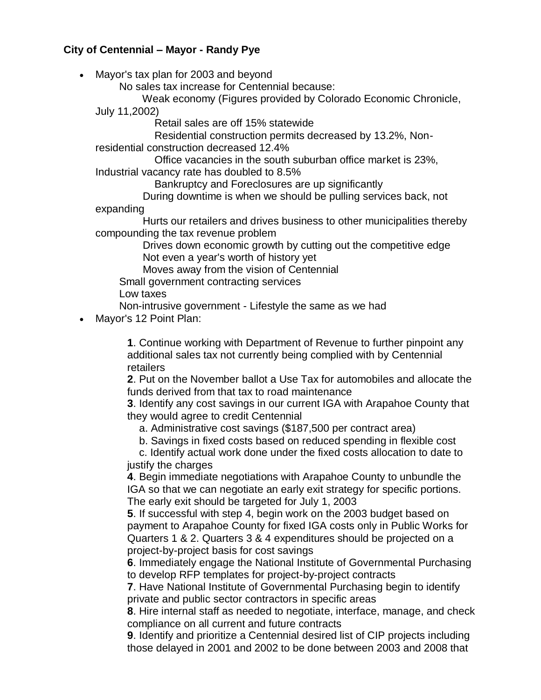### **City of Centennial – Mayor - Randy Pye**

• Mayor's tax plan for 2003 and beyond

No sales tax increase for Centennial because:

Weak economy (Figures provided by Colorado Economic Chronicle,

July 11,2002)

Retail sales are off 15% statewide

 Residential construction permits decreased by 13.2%, Nonresidential construction decreased 12.4%

 Office vacancies in the south suburban office market is 23%, Industrial vacancy rate has doubled to 8.5%

Bankruptcy and Foreclosures are up significantly

 During downtime is when we should be pulling services back, not expanding

 Hurts our retailers and drives business to other municipalities thereby compounding the tax revenue problem

 Drives down economic growth by cutting out the competitive edge Not even a year's worth of history yet

Moves away from the vision of Centennial

Small government contracting services

Low taxes

Non-intrusive government - Lifestyle the same as we had

Mayor's 12 Point Plan:

**1**. Continue working with Department of Revenue to further pinpoint any additional sales tax not currently being complied with by Centennial retailers

**2**. Put on the November ballot a Use Tax for automobiles and allocate the funds derived from that tax to road maintenance

**3**. Identify any cost savings in our current IGA with Arapahoe County that they would agree to credit Centennial

a. Administrative cost savings (\$187,500 per contract area)

b. Savings in fixed costs based on reduced spending in flexible cost

 c. Identify actual work done under the fixed costs allocation to date to justify the charges

**4**. Begin immediate negotiations with Arapahoe County to unbundle the IGA so that we can negotiate an early exit strategy for specific portions. The early exit should be targeted for July 1, 2003

**5**. If successful with step 4, begin work on the 2003 budget based on payment to Arapahoe County for fixed IGA costs only in Public Works for Quarters 1 & 2. Quarters 3 & 4 expenditures should be projected on a project-by-project basis for cost savings

**6**. Immediately engage the National Institute of Governmental Purchasing to develop RFP templates for project-by-project contracts

**7**. Have National Institute of Governmental Purchasing begin to identify private and public sector contractors in specific areas

**8**. Hire internal staff as needed to negotiate, interface, manage, and check compliance on all current and future contracts

**9**. Identify and prioritize a Centennial desired list of CIP projects including those delayed in 2001 and 2002 to be done between 2003 and 2008 that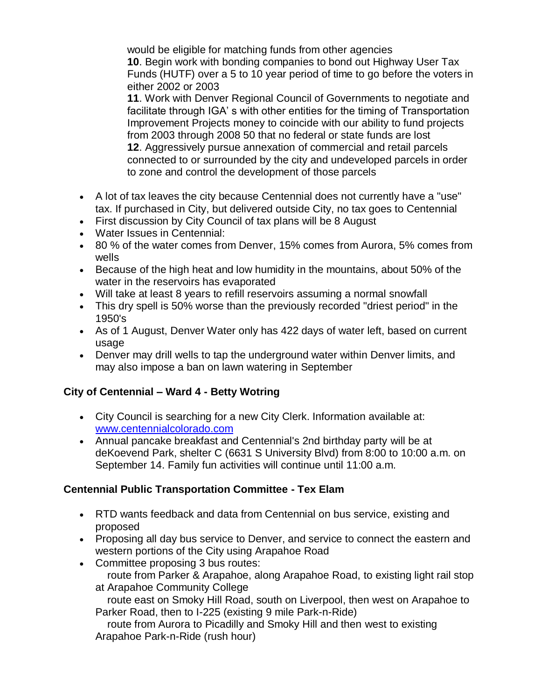would be eligible for matching funds from other agencies **10**. Begin work with bonding companies to bond out Highway User Tax Funds (HUTF) over a 5 to 10 year period of time to go before the voters in either 2002 or 2003

**11**. Work with Denver Regional Council of Governments to negotiate and facilitate through IGA' s with other entities for the timing of Transportation Improvement Projects money to coincide with our ability to fund projects from 2003 through 2008 50 that no federal or state funds are lost **12**. Aggressively pursue annexation of commercial and retail parcels connected to or surrounded by the city and undeveloped parcels in order to zone and control the development of those parcels

- A lot of tax leaves the city because Centennial does not currently have a "use" tax. If purchased in City, but delivered outside City, no tax goes to Centennial
- First discussion by City Council of tax plans will be 8 August
- Water Issues in Centennial:
- 80 % of the water comes from Denver, 15% comes from Aurora, 5% comes from wells
- Because of the high heat and low humidity in the mountains, about 50% of the water in the reservoirs has evaporated
- Will take at least 8 years to refill reservoirs assuming a normal snowfall
- This dry spell is 50% worse than the previously recorded "driest period" in the 1950's
- As of 1 August, Denver Water only has 422 days of water left, based on current usage
- Denver may drill wells to tap the underground water within Denver limits, and may also impose a ban on lawn watering in September

# **City of Centennial – Ward 4 - Betty Wotring**

- City Council is searching for a new City Clerk. Information available at: [www.centennialcolorado.com](http://www.centennialcolorado.com/)
- Annual pancake breakfast and Centennial's 2nd birthday party will be at deKoevend Park, shelter C (6631 S University Blvd) from 8:00 to 10:00 a.m. on September 14. Family fun activities will continue until 11:00 a.m.

## **Centennial Public Transportation Committee - Tex Elam**

- RTD wants feedback and data from Centennial on bus service, existing and proposed
- Proposing all day bus service to Denver, and service to connect the eastern and western portions of the City using Arapahoe Road
- Committee proposing 3 bus routes:

 route from Parker & Arapahoe, along Arapahoe Road, to existing light rail stop at Arapahoe Community College

 route east on Smoky Hill Road, south on Liverpool, then west on Arapahoe to Parker Road, then to I-225 (existing 9 mile Park-n-Ride)

 route from Aurora to Picadilly and Smoky Hill and then west to existing Arapahoe Park-n-Ride (rush hour)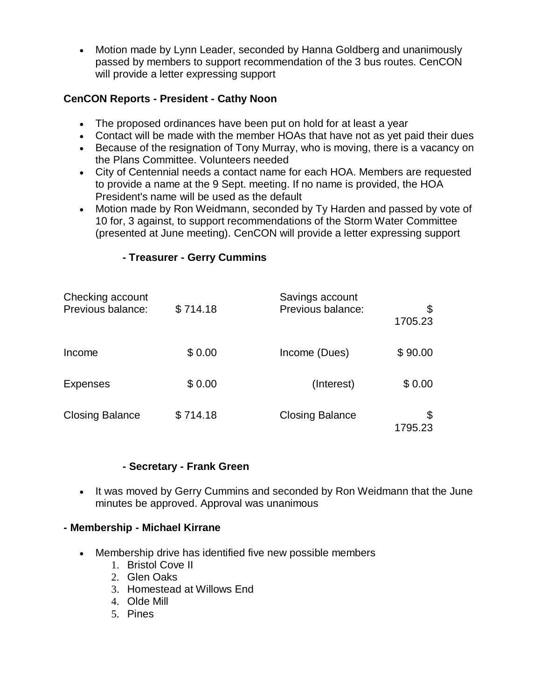Motion made by Lynn Leader, seconded by Hanna Goldberg and unanimously passed by members to support recommendation of the 3 bus routes. CenCON will provide a letter expressing support

# **CenCON Reports - President - Cathy Noon**

- The proposed ordinances have been put on hold for at least a year
- Contact will be made with the member HOAs that have not as yet paid their dues
- Because of the resignation of Tony Murray, who is moving, there is a vacancy on the Plans Committee. Volunteers needed
- City of Centennial needs a contact name for each HOA. Members are requested to provide a name at the 9 Sept. meeting. If no name is provided, the HOA President's name will be used as the default
- Motion made by Ron Weidmann, seconded by Ty Harden and passed by vote of 10 for, 3 against, to support recommendations of the Storm Water Committee (presented at June meeting). CenCON will provide a letter expressing support

## **- Treasurer - Gerry Cummins**

| Checking account<br>Previous balance: | \$714.18 | Savings account<br>Previous balance: | \$<br>1705.23 |
|---------------------------------------|----------|--------------------------------------|---------------|
| Income                                | \$0.00   | Income (Dues)                        | \$90.00       |
| <b>Expenses</b>                       | \$0.00   | (Interest)                           | \$0.00        |
| <b>Closing Balance</b>                | \$714.18 | <b>Closing Balance</b>               | 1795.23       |

#### **- Secretary - Frank Green**

• It was moved by Gerry Cummins and seconded by Ron Weidmann that the June minutes be approved. Approval was unanimous

## **- Membership - Michael Kirrane**

- Membership drive has identified five new possible members
	- 1. Bristol Cove II
	- 2. Glen Oaks
	- 3. Homestead at Willows End
	- 4. Olde Mill
	- 5. Pines